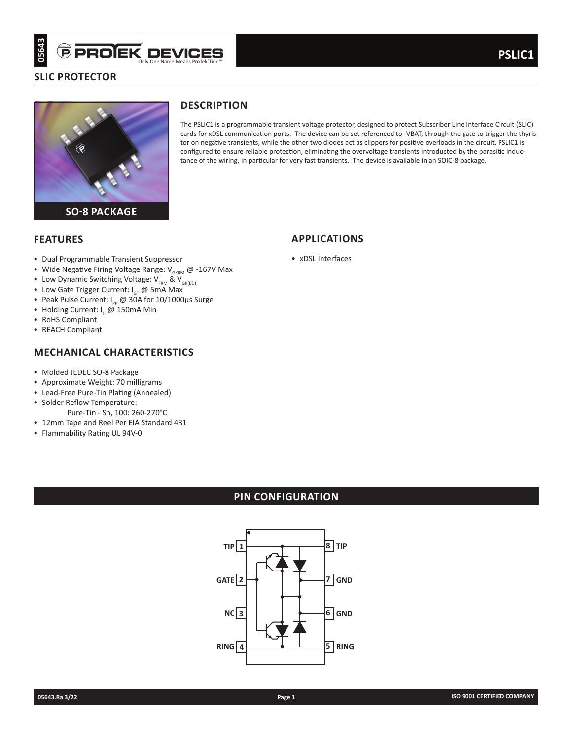## **SLIC protector**



# **Description**

The PSLIC1 is a programmable transient voltage protector, designed to protect Subscriber Line Interface Circuit (SLIC) cards for xDSL communication ports. The device can be set referenced to -VBAT, through the gate to trigger the thyristor on negative transients, while the other two diodes act as clippers for positive overloads in the circuit. PSLIC1 is configured to ensure reliable protection, eliminating the overvoltage transients introducted by the parasitic inductance of the wiring, in particular for very fast transients. The device is available in an SOIC-8 package.

**applications**

• xDSL Interfaces

## **Features**

- Dual Programmable Transient Suppressor
- Wide Negative Firing Voltage Range:  $V_{GKRM}$  @ -167V Max
- Low Dynamic Switching Voltage:  $V_{FRM}$  &  $V_{GK(BD)}$
- Low Gate Trigger Current:  $I_{GT}$  @ 5mA Max
- Peak Pulse Current:  $I_{\text{p}} \text{ } \textcircled{ } 30A$  for 10/1000µs Surge
- Holding Current: I. @ 150mA Min
- RoHS Compliant
- REACH Compliant

# **Mechanical characteristics**

- Molded JEDEC SO-8 Package
- Approximate Weight: 70 milligrams
- Lead-Free Pure-Tin Plating (Annealed)
- Solder Reflow Temperature: Pure-Tin - Sn, 100: 260-270°C
- 12mm Tape and Reel Per EIA Standard 481
- Flammability Rating UL 94V-0

# **PIN CONFIGURATION**

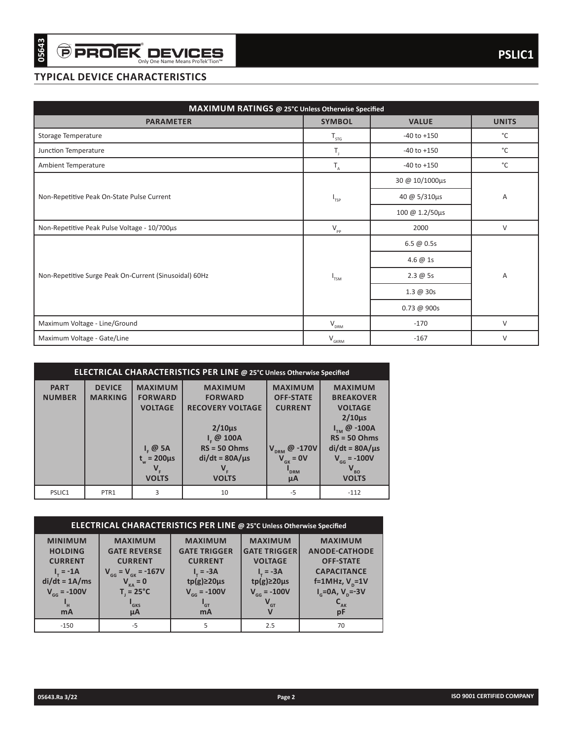| <b>TYPICAL DEVICE CHARACTERISTICS</b><br>MAXIMUM RATINGS @ 25°C Unless Otherwise Specified<br><b>PARAMETER</b><br><b>SYMBOL</b><br><b>VALUE</b><br>Storage Temperature<br>$-40$ to $+150$<br>$T_{STG}$<br>T,<br>Junction Temperature<br>$-40$ to $+150$<br>Ambient Temperature<br>$-40$ to $+150$<br>$T_{\rm A}$<br>30 @ 10/1000μs<br>Non-Repetitive Peak On-State Pulse Current<br>40 @ 5/310µs<br>$\textsf{I}_{\mathsf{TSP}}$<br>100 @ 1.2/50μs<br>Non-Repetitive Peak Pulse Voltage - 10/700µs<br>$V_{\rm pp}$<br>2000<br>$6.5 \ @ 0.5s$<br>4.6 @ 1s<br>Non-Repetitive Surge Peak On-Current (Sinusoidal) 60Hz<br>$2.3 \ @ 5s$<br>$I_{TSM}$<br>$1.3 \ @$ 30s<br>$0.73 \ @ 900s$<br>Maximum Voltage - Line/Ground<br>$V_{DRM}$<br>$-170$<br>Maximum Voltage - Gate/Line<br>$V_{GKRM}$<br>$-167$<br>ELECTRICAL CHARACTERISTICS PER LINE @ 25°C Unless Otherwise Specified<br><b>DEVICE</b><br><b>PART</b><br><b>MAXIMUM</b><br><b>MAXIMUM</b><br><b>MAXIMUM</b><br><b>MAXIMUM</b><br><b>FORWARD</b><br><b>NUMBER</b><br><b>MARKING</b><br><b>FORWARD</b><br><b>OFF-STATE</b><br><b>BREAKOVER</b><br><b>VOLTAGE</b><br><b>RECOVERY VOLTAGE</b><br><b>CURRENT</b><br><b>VOLTAGE</b><br>$2/10\mu s$<br>$2/10\mu s$<br>$I_{TM}$ @ -100A<br>$Ir$ @ 100A<br>$RS = 50 Ohms$<br>$RS = 50$ Ohms<br>$I_F \omega$ 5A<br>$V_{DRM}$ @ -170V<br>$di/dt = 80A/\mu s$<br>$di/dt = 80A/\mu s$<br>$t_w = 200 \mu s$<br>$V_{gK} = 0V$<br>$V_{GG} = -100V$<br>$V_F$<br>$V_F$<br>$V_{B0}$<br>$\mathbf{I}_{\texttt{DRM}}$<br><b>VOLTS</b><br><b>VOLTS</b><br><b>VOLTS</b><br>$\mu$ A<br>PTR1<br>$-5$<br>PSLIC1<br>3<br>10<br>$-112$<br>ELECTRICAL CHARACTERISTICS PER LINE @ 25°C Unless Otherwise Specified<br><b>MINIMUM</b><br><b>MAXIMUM</b><br><b>MAXIMUM</b><br><b>MAXIMUM</b><br><b>MAXIMUM</b><br><b>HOLDING</b><br><b>GATE REVERSE</b><br><b>GATE TRIGGER</b><br><b>GATE TRIGGER</b><br><b>ANODE-CATHODE</b><br><b>CURRENT</b><br><b>CURRENT</b><br><b>CURRENT</b><br><b>VOLTAGE</b><br><b>OFF-STATE</b><br>$V_{GG} = V_{GK} = -167V$<br>$I_{\tau} = -3A$<br>$I_r = -3A$<br><b>CAPACITANCE</b><br>$I_{\tau} = -1A$<br>$di/dt = 1A/ms$<br>$V_{KA}$ = 0<br>$tp(g) \geq 20 \mu s$<br>$tp(g) \geq 20 \mu s$<br>f=1MHz, $V_p$ =1V<br>$V_{GG} = -100V$<br>$T_i = 25^{\circ}C$<br>$V_{GG} = -100V$<br>$V_{GG} = -100V$<br>$I_{\rm g}$ =0A, V <sub>p</sub> =-3V<br>$\mathbf{V}_{\text{GT}}$<br>$\mathbf{C}_{_{\mathbf{AK}}}$<br>$I_{\rm H}$<br>$I_{GKS}$<br>$I_{GT}$<br>mA<br>$\mu$ A<br><b>mA</b><br>V<br>pF<br>-5<br>5<br>$-150$<br>2.5<br>70 |  |  |  |  |  |              |
|-----------------------------------------------------------------------------------------------------------------------------------------------------------------------------------------------------------------------------------------------------------------------------------------------------------------------------------------------------------------------------------------------------------------------------------------------------------------------------------------------------------------------------------------------------------------------------------------------------------------------------------------------------------------------------------------------------------------------------------------------------------------------------------------------------------------------------------------------------------------------------------------------------------------------------------------------------------------------------------------------------------------------------------------------------------------------------------------------------------------------------------------------------------------------------------------------------------------------------------------------------------------------------------------------------------------------------------------------------------------------------------------------------------------------------------------------------------------------------------------------------------------------------------------------------------------------------------------------------------------------------------------------------------------------------------------------------------------------------------------------------------------------------------------------------------------------------------------------------------------------------------------------------------------------------------------------------------------------------------------------------------------------------------------------------------------------------------------------------------------------------------------------------------------------------------------------------------------------------------------------------------------------------------------------------------------------------------------------------------------------------------------------------------------------------------------------------------------------------------------------------------------------------|--|--|--|--|--|--------------|
|                                                                                                                                                                                                                                                                                                                                                                                                                                                                                                                                                                                                                                                                                                                                                                                                                                                                                                                                                                                                                                                                                                                                                                                                                                                                                                                                                                                                                                                                                                                                                                                                                                                                                                                                                                                                                                                                                                                                                                                                                                                                                                                                                                                                                                                                                                                                                                                                                                                                                                                             |  |  |  |  |  |              |
|                                                                                                                                                                                                                                                                                                                                                                                                                                                                                                                                                                                                                                                                                                                                                                                                                                                                                                                                                                                                                                                                                                                                                                                                                                                                                                                                                                                                                                                                                                                                                                                                                                                                                                                                                                                                                                                                                                                                                                                                                                                                                                                                                                                                                                                                                                                                                                                                                                                                                                                             |  |  |  |  |  |              |
|                                                                                                                                                                                                                                                                                                                                                                                                                                                                                                                                                                                                                                                                                                                                                                                                                                                                                                                                                                                                                                                                                                                                                                                                                                                                                                                                                                                                                                                                                                                                                                                                                                                                                                                                                                                                                                                                                                                                                                                                                                                                                                                                                                                                                                                                                                                                                                                                                                                                                                                             |  |  |  |  |  | <b>UNITS</b> |
|                                                                                                                                                                                                                                                                                                                                                                                                                                                                                                                                                                                                                                                                                                                                                                                                                                                                                                                                                                                                                                                                                                                                                                                                                                                                                                                                                                                                                                                                                                                                                                                                                                                                                                                                                                                                                                                                                                                                                                                                                                                                                                                                                                                                                                                                                                                                                                                                                                                                                                                             |  |  |  |  |  | °C           |
|                                                                                                                                                                                                                                                                                                                                                                                                                                                                                                                                                                                                                                                                                                                                                                                                                                                                                                                                                                                                                                                                                                                                                                                                                                                                                                                                                                                                                                                                                                                                                                                                                                                                                                                                                                                                                                                                                                                                                                                                                                                                                                                                                                                                                                                                                                                                                                                                                                                                                                                             |  |  |  |  |  | °C           |
|                                                                                                                                                                                                                                                                                                                                                                                                                                                                                                                                                                                                                                                                                                                                                                                                                                                                                                                                                                                                                                                                                                                                                                                                                                                                                                                                                                                                                                                                                                                                                                                                                                                                                                                                                                                                                                                                                                                                                                                                                                                                                                                                                                                                                                                                                                                                                                                                                                                                                                                             |  |  |  |  |  | °C           |
|                                                                                                                                                                                                                                                                                                                                                                                                                                                                                                                                                                                                                                                                                                                                                                                                                                                                                                                                                                                                                                                                                                                                                                                                                                                                                                                                                                                                                                                                                                                                                                                                                                                                                                                                                                                                                                                                                                                                                                                                                                                                                                                                                                                                                                                                                                                                                                                                                                                                                                                             |  |  |  |  |  |              |
|                                                                                                                                                                                                                                                                                                                                                                                                                                                                                                                                                                                                                                                                                                                                                                                                                                                                                                                                                                                                                                                                                                                                                                                                                                                                                                                                                                                                                                                                                                                                                                                                                                                                                                                                                                                                                                                                                                                                                                                                                                                                                                                                                                                                                                                                                                                                                                                                                                                                                                                             |  |  |  |  |  | A            |
|                                                                                                                                                                                                                                                                                                                                                                                                                                                                                                                                                                                                                                                                                                                                                                                                                                                                                                                                                                                                                                                                                                                                                                                                                                                                                                                                                                                                                                                                                                                                                                                                                                                                                                                                                                                                                                                                                                                                                                                                                                                                                                                                                                                                                                                                                                                                                                                                                                                                                                                             |  |  |  |  |  |              |
|                                                                                                                                                                                                                                                                                                                                                                                                                                                                                                                                                                                                                                                                                                                                                                                                                                                                                                                                                                                                                                                                                                                                                                                                                                                                                                                                                                                                                                                                                                                                                                                                                                                                                                                                                                                                                                                                                                                                                                                                                                                                                                                                                                                                                                                                                                                                                                                                                                                                                                                             |  |  |  |  |  | $\vee$       |
|                                                                                                                                                                                                                                                                                                                                                                                                                                                                                                                                                                                                                                                                                                                                                                                                                                                                                                                                                                                                                                                                                                                                                                                                                                                                                                                                                                                                                                                                                                                                                                                                                                                                                                                                                                                                                                                                                                                                                                                                                                                                                                                                                                                                                                                                                                                                                                                                                                                                                                                             |  |  |  |  |  |              |
|                                                                                                                                                                                                                                                                                                                                                                                                                                                                                                                                                                                                                                                                                                                                                                                                                                                                                                                                                                                                                                                                                                                                                                                                                                                                                                                                                                                                                                                                                                                                                                                                                                                                                                                                                                                                                                                                                                                                                                                                                                                                                                                                                                                                                                                                                                                                                                                                                                                                                                                             |  |  |  |  |  |              |
|                                                                                                                                                                                                                                                                                                                                                                                                                                                                                                                                                                                                                                                                                                                                                                                                                                                                                                                                                                                                                                                                                                                                                                                                                                                                                                                                                                                                                                                                                                                                                                                                                                                                                                                                                                                                                                                                                                                                                                                                                                                                                                                                                                                                                                                                                                                                                                                                                                                                                                                             |  |  |  |  |  | Α            |
|                                                                                                                                                                                                                                                                                                                                                                                                                                                                                                                                                                                                                                                                                                                                                                                                                                                                                                                                                                                                                                                                                                                                                                                                                                                                                                                                                                                                                                                                                                                                                                                                                                                                                                                                                                                                                                                                                                                                                                                                                                                                                                                                                                                                                                                                                                                                                                                                                                                                                                                             |  |  |  |  |  |              |
|                                                                                                                                                                                                                                                                                                                                                                                                                                                                                                                                                                                                                                                                                                                                                                                                                                                                                                                                                                                                                                                                                                                                                                                                                                                                                                                                                                                                                                                                                                                                                                                                                                                                                                                                                                                                                                                                                                                                                                                                                                                                                                                                                                                                                                                                                                                                                                                                                                                                                                                             |  |  |  |  |  |              |
|                                                                                                                                                                                                                                                                                                                                                                                                                                                                                                                                                                                                                                                                                                                                                                                                                                                                                                                                                                                                                                                                                                                                                                                                                                                                                                                                                                                                                                                                                                                                                                                                                                                                                                                                                                                                                                                                                                                                                                                                                                                                                                                                                                                                                                                                                                                                                                                                                                                                                                                             |  |  |  |  |  | $\vee$       |
|                                                                                                                                                                                                                                                                                                                                                                                                                                                                                                                                                                                                                                                                                                                                                                                                                                                                                                                                                                                                                                                                                                                                                                                                                                                                                                                                                                                                                                                                                                                                                                                                                                                                                                                                                                                                                                                                                                                                                                                                                                                                                                                                                                                                                                                                                                                                                                                                                                                                                                                             |  |  |  |  |  | $\vee$       |
|                                                                                                                                                                                                                                                                                                                                                                                                                                                                                                                                                                                                                                                                                                                                                                                                                                                                                                                                                                                                                                                                                                                                                                                                                                                                                                                                                                                                                                                                                                                                                                                                                                                                                                                                                                                                                                                                                                                                                                                                                                                                                                                                                                                                                                                                                                                                                                                                                                                                                                                             |  |  |  |  |  |              |
|                                                                                                                                                                                                                                                                                                                                                                                                                                                                                                                                                                                                                                                                                                                                                                                                                                                                                                                                                                                                                                                                                                                                                                                                                                                                                                                                                                                                                                                                                                                                                                                                                                                                                                                                                                                                                                                                                                                                                                                                                                                                                                                                                                                                                                                                                                                                                                                                                                                                                                                             |  |  |  |  |  |              |
|                                                                                                                                                                                                                                                                                                                                                                                                                                                                                                                                                                                                                                                                                                                                                                                                                                                                                                                                                                                                                                                                                                                                                                                                                                                                                                                                                                                                                                                                                                                                                                                                                                                                                                                                                                                                                                                                                                                                                                                                                                                                                                                                                                                                                                                                                                                                                                                                                                                                                                                             |  |  |  |  |  |              |
|                                                                                                                                                                                                                                                                                                                                                                                                                                                                                                                                                                                                                                                                                                                                                                                                                                                                                                                                                                                                                                                                                                                                                                                                                                                                                                                                                                                                                                                                                                                                                                                                                                                                                                                                                                                                                                                                                                                                                                                                                                                                                                                                                                                                                                                                                                                                                                                                                                                                                                                             |  |  |  |  |  |              |
|                                                                                                                                                                                                                                                                                                                                                                                                                                                                                                                                                                                                                                                                                                                                                                                                                                                                                                                                                                                                                                                                                                                                                                                                                                                                                                                                                                                                                                                                                                                                                                                                                                                                                                                                                                                                                                                                                                                                                                                                                                                                                                                                                                                                                                                                                                                                                                                                                                                                                                                             |  |  |  |  |  |              |
|                                                                                                                                                                                                                                                                                                                                                                                                                                                                                                                                                                                                                                                                                                                                                                                                                                                                                                                                                                                                                                                                                                                                                                                                                                                                                                                                                                                                                                                                                                                                                                                                                                                                                                                                                                                                                                                                                                                                                                                                                                                                                                                                                                                                                                                                                                                                                                                                                                                                                                                             |  |  |  |  |  |              |

|                              | ELECTRICAL CHARACTERISTICS PER LINE @ 25°C Unless Otherwise Specified |                                   |                                       |                                          |                                         |  |  |  |  |  |  |
|------------------------------|-----------------------------------------------------------------------|-----------------------------------|---------------------------------------|------------------------------------------|-----------------------------------------|--|--|--|--|--|--|
| <b>PART</b><br><b>NUMBER</b> | <b>DEVICE</b><br><b>MARKING</b>                                       | <b>MAXIMUM</b><br><b>FORWARD</b>  | <b>MAXIMUM</b><br><b>FORWARD</b>      | <b>MAXIMUM</b><br><b>OFF-STATE</b>       | <b>MAXIMUM</b><br><b>BREAKOVER</b>      |  |  |  |  |  |  |
|                              |                                                                       | <b>VOLTAGE</b>                    | <b>RECOVERY VOLTAGE</b>               | <b>CURRENT</b>                           | <b>VOLTAGE</b><br>$2/10\mu s$           |  |  |  |  |  |  |
|                              |                                                                       |                                   | $2/10\mu s$<br>$I_c \omega$ 100A      |                                          | @-100A<br>$RS = 50$ Ohms                |  |  |  |  |  |  |
|                              |                                                                       | $I_{r}$ @ 5A<br>$t_w = 200 \mu s$ | $RS = 50$ Ohms<br>$di/dt = 80A/\mu s$ | @ $-170V$<br><b>DRM</b><br>$V_{GK} = 0V$ | $di/dt = 80A/\mu s$<br>$V_{GG} = -100V$ |  |  |  |  |  |  |
|                              |                                                                       | V.<br><b>VOLTS</b>                | $V_{\rm c}$<br><b>VOLTS</b>           | <sup>"</sup> DRM<br>μA                   | $V_{BO}$<br><b>VOLTS</b>                |  |  |  |  |  |  |
| PSLIC1                       | PTR1                                                                  | 3                                 | 10                                    | $-5$                                     | $-112$                                  |  |  |  |  |  |  |

| ELECTRICAL CHARACTERISTICS PER LINE @ 25°C Unless Otherwise Specified                                               |                                                                                                                                                     |                                                                                                                                                   |                                                                                                                                      |                                                                                                                                                              |  |  |  |  |  |  |
|---------------------------------------------------------------------------------------------------------------------|-----------------------------------------------------------------------------------------------------------------------------------------------------|---------------------------------------------------------------------------------------------------------------------------------------------------|--------------------------------------------------------------------------------------------------------------------------------------|--------------------------------------------------------------------------------------------------------------------------------------------------------------|--|--|--|--|--|--|
| <b>MINIMUM</b><br><b>HOLDING</b><br><b>CURRENT</b><br>$I_{\tau} = -1A$<br>$di/dt = 1A/ms$<br>$V_{GG} = -100V$<br>mA | <b>MAXIMUM</b><br><b>GATE REVERSE</b><br><b>CURRENT</b><br>$V_{GG} = V_{GK} = -167V$<br>$V_{KA}$ = 0<br>$T = 25^{\circ}C$<br><sup>'</sup> GKS<br>μA | <b>MAXIMUM</b><br><b>GATE TRIGGER</b><br><b>CURRENT</b><br>$I_{\tau} = -3A$<br>$tp(g) \geq 20 \mu s$<br>$V_{GG} = -100V$<br>$^{\bullet}$ GT<br>mA | <b>MAXIMUM</b><br><b>GATE TRIGGER</b><br><b>VOLTAGE</b><br>$I = -3A$<br>$tp(g) \geq 20 \mu s$<br>$V_{GG} = -100V$<br>$V_{\text{GT}}$ | <b>MAXIMUM</b><br><b>ANODE-CATHODE</b><br><b>OFF-STATE</b><br><b>CAPACITANCE</b><br>f=1MHz, $V_p$ =1V<br>$I_{\rm g}$ =0A, V <sub>p</sub> =-3V<br>$-AK$<br>pF |  |  |  |  |  |  |
| $-150$                                                                                                              | -5                                                                                                                                                  |                                                                                                                                                   | 2.5                                                                                                                                  | 70                                                                                                                                                           |  |  |  |  |  |  |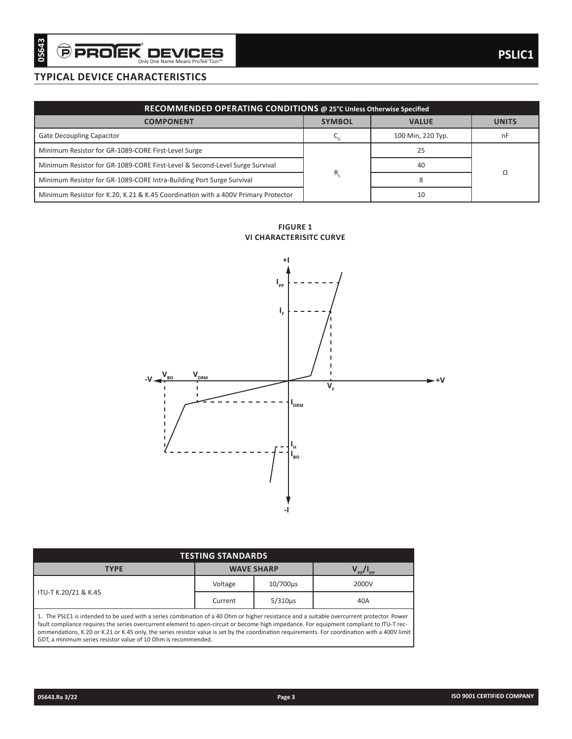# **typical device characteristics**

|                                                                                   | RECOMMENDED OPERATING CONDITIONS @ 25°C Unless Otherwise Specified |                   |              |  |  |  |  |  |  |  |  |
|-----------------------------------------------------------------------------------|--------------------------------------------------------------------|-------------------|--------------|--|--|--|--|--|--|--|--|
| <b>COMPONENT</b>                                                                  | <b>SYMBOL</b>                                                      | <b>VALUE</b>      | <b>UNITS</b> |  |  |  |  |  |  |  |  |
| Gate Decoupling Capacitor                                                         |                                                                    | 100 Min, 220 Typ. | nF           |  |  |  |  |  |  |  |  |
| Minimum Resistor for GR-1089-CORE First-Level Surge                               |                                                                    | 25                |              |  |  |  |  |  |  |  |  |
| Minimum Resistor for GR-1089-CORE First-Level & Second-Level Surge Survival       |                                                                    | 40                |              |  |  |  |  |  |  |  |  |
| Minimum Resistor for GR-1089-CORE Intra-Building Port Surge Survival              | $R_{c}$                                                            |                   |              |  |  |  |  |  |  |  |  |
| Minimum Resistor for K.20, K.21 & K.45 Coordination with a 400V Primary Protector |                                                                    |                   |              |  |  |  |  |  |  |  |  |

**figure 1 VI CHARACTERISITC CURVE**



| <b>TESTING STANDARDS</b>                                                                                                                                                                                                                                                                                                                                                                                                                                                                                   |                   |                         |       |  |  |  |  |  |  |
|------------------------------------------------------------------------------------------------------------------------------------------------------------------------------------------------------------------------------------------------------------------------------------------------------------------------------------------------------------------------------------------------------------------------------------------------------------------------------------------------------------|-------------------|-------------------------|-------|--|--|--|--|--|--|
| <b>TYPE</b>                                                                                                                                                                                                                                                                                                                                                                                                                                                                                                | <b>WAVE SHARP</b> | $V_{\rm pp}/I_{\rm pp}$ |       |  |  |  |  |  |  |
|                                                                                                                                                                                                                                                                                                                                                                                                                                                                                                            | Voltage           | 10/700us                | 2000V |  |  |  |  |  |  |
| ITU-T K.20/21 & K.45                                                                                                                                                                                                                                                                                                                                                                                                                                                                                       | Current           | $5/310\mu s$            | 40A   |  |  |  |  |  |  |
| 1. The PSLC1 is intended to be used with a series combination of a 40 Ohm or higher resistance and a suitable overcurrent protector. Power<br>fault compliance requires the series overcurrent element to open-circuit or become high impedance. For equipment compliant to ITU-T rec-<br>ommendations, K.20 or K.21 or K.45 only, the series resistor value is set by the coordination requirements. For coordination with a 400V limit<br>GDT, a minimum series resistor value of 10 Ohm is recommended. |                   |                         |       |  |  |  |  |  |  |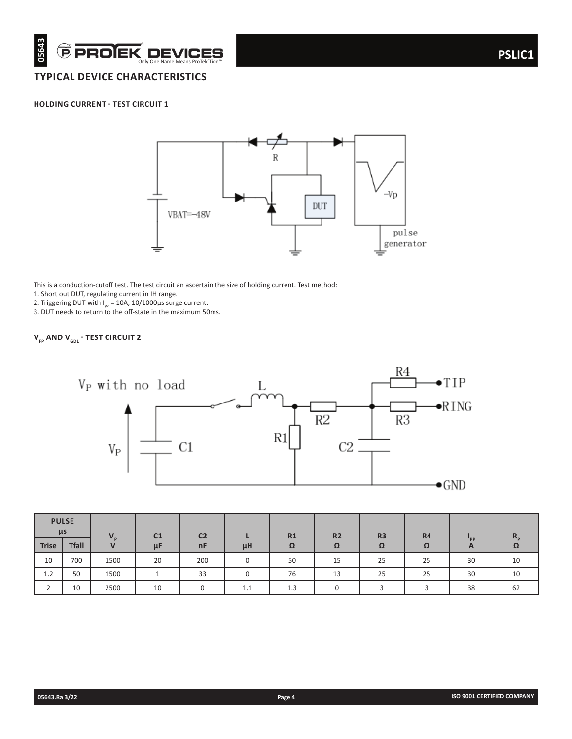### **holding current - test circuit 1**



This is a conduction-cutoff test. The test circuit an ascertain the size of holding current. Test method:

1. Short out DUT, regulating current in IH range.

2. Triggering DUT with  $I_{pp}$  = 10A, 10/1000 $\mu$ s surge current.

3. DUT needs to return to the off-state in the maximum 50ms.

# $\bm{\mathsf{V}}_{_{\sf FP}}$  AND  $\bm{\mathsf{V}}_{_{\sf GDL}}$  - TEST CIRCUIT 2



| $\mu$ s      | <b>PULSE</b> | $\mathbf{V}$ | C <sub>1</sub> | C <sub>2</sub> |          | R1  | <b>R2</b> | R <sub>3</sub> | R4 |          |    |
|--------------|--------------|--------------|----------------|----------------|----------|-----|-----------|----------------|----|----------|----|
| <b>Trise</b> | <b>Tfall</b> | $\mathbf{V}$ | μF             | nF             | μH       | Ω   | Ω         | Ω              | Ω  | "PP<br>A | 77 |
| 10           | 700          | 1500         | 20             | 200            | 0        | 50  | 15        | 25             | 25 | 30       | 10 |
| 1.2          | 50           | 1500         |                | 33             | $\Omega$ | 76  | 13        | 25             | 25 | 30       | 10 |
|              | 10           | 2500         | 10             |                | 1.1      | 1.3 |           |                |    | 38       | 62 |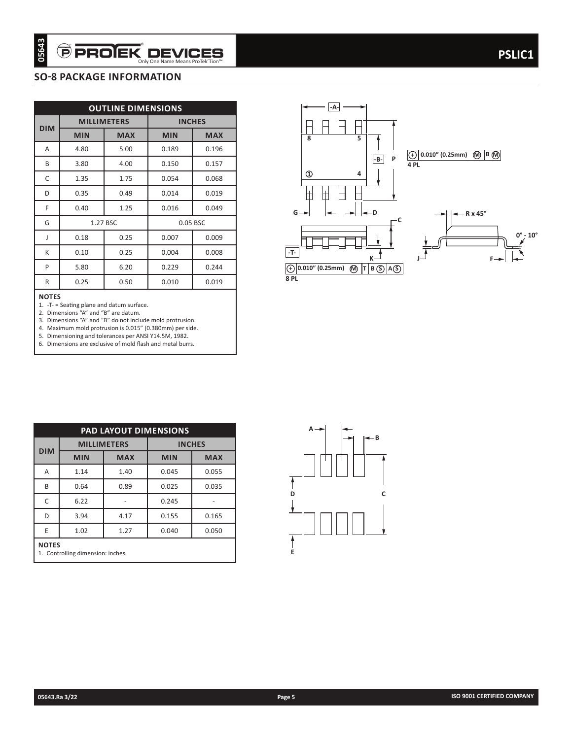# **SO-8 package information**

| <b>DIM</b><br>A   |                                      |                                                                                                     |                                                                                                                                                                                     |               |
|-------------------|--------------------------------------|-----------------------------------------------------------------------------------------------------|-------------------------------------------------------------------------------------------------------------------------------------------------------------------------------------|---------------|
|                   |                                      | <b>OUTLINE DIMENSIONS</b>                                                                           |                                                                                                                                                                                     |               |
|                   |                                      | <b>MILLIMETERS</b>                                                                                  |                                                                                                                                                                                     | <b>INCHES</b> |
|                   | <b>MIN</b>                           | <b>MAX</b>                                                                                          | <b>MIN</b>                                                                                                                                                                          | <b>MAX</b>    |
|                   | 4.80                                 | 5.00                                                                                                | 0.189                                                                                                                                                                               | 0.196         |
| В                 | 3.80                                 | 4.00                                                                                                | 0.150                                                                                                                                                                               | 0.157         |
| C                 | 1.35                                 | 1.75                                                                                                | 0.054                                                                                                                                                                               | 0.068         |
| D                 | 0.35                                 | 0.49                                                                                                | 0.014                                                                                                                                                                               | 0.019         |
| F                 | 0.40                                 | 1.25                                                                                                | 0.016                                                                                                                                                                               | 0.049         |
| G                 |                                      | 1.27 BSC                                                                                            |                                                                                                                                                                                     | 0.05 BSC      |
| J                 | 0.18                                 | 0.25                                                                                                | 0.007                                                                                                                                                                               | 0.009         |
| K                 | 0.10                                 | 0.25                                                                                                | 0.004                                                                                                                                                                               | 0.008         |
| P                 | 5.80                                 | 6.20                                                                                                | 0.229                                                                                                                                                                               | 0.244         |
| R                 | 0.25                                 | 0.50                                                                                                | 0.010                                                                                                                                                                               | 0.019         |
|                   | 2. Dimensions "A" and "B" are datum. | 1. - T- = Seating plane and datum surface.<br>5. Dimensioning and tolerances per ANSI Y14.5M, 1982. | 3. Dimensions "A" and "B" do not include mold protrusion.<br>4. Maximum mold protrusion is 0.015" (0.380mm) per side.<br>6. Dimensions are exclusive of mold flash and metal burrs. |               |
| <b>NOTES</b>      |                                      | PAD LAYOUT DIMENSIONS                                                                               |                                                                                                                                                                                     |               |
|                   |                                      | <b>MILLIMETERS</b>                                                                                  |                                                                                                                                                                                     | <b>INCHES</b> |
|                   | <b>MIN</b>                           | <b>MAX</b>                                                                                          | <b>MIN</b>                                                                                                                                                                          | <b>MAX</b>    |
| Α                 | 1.14                                 | 1.40                                                                                                | 0.045                                                                                                                                                                               | 0.055         |
| В                 | 0.64                                 | 0.89                                                                                                | 0.025                                                                                                                                                                               | 0.035         |
| С                 | 6.22                                 | $\sim$                                                                                              | 0.245                                                                                                                                                                               | $\sim$        |
| <b>DIM</b><br>D   | 3.94                                 | 4.17                                                                                                | 0.155                                                                                                                                                                               | 0.165         |
| Ε<br><b>NOTES</b> | 1.02                                 | 1.27                                                                                                | 0.040                                                                                                                                                                               | 0.050         |



| -A-                                                                     |
|-------------------------------------------------------------------------|
| 8<br>5                                                                  |
| $0.010''$ (0.25mm)<br><b>M</b><br>B M<br>$\ddot{}$<br> -B- <br>P<br>4PL |
| $\mathbf 0$<br>4                                                        |
|                                                                         |
| $G \rightarrow$<br>-D<br>- R x 45°<br>Ċ                                 |
| $0^{\circ}$ - $10^{\circ}$                                              |
| $-T$ -<br>J-<br>$K -$<br>F-                                             |
| $ 0.010"$ (0.25mm)<br>(M)<br>A(S)<br>B(S)<br>т<br>K+                    |
| 8 PL                                                                    |

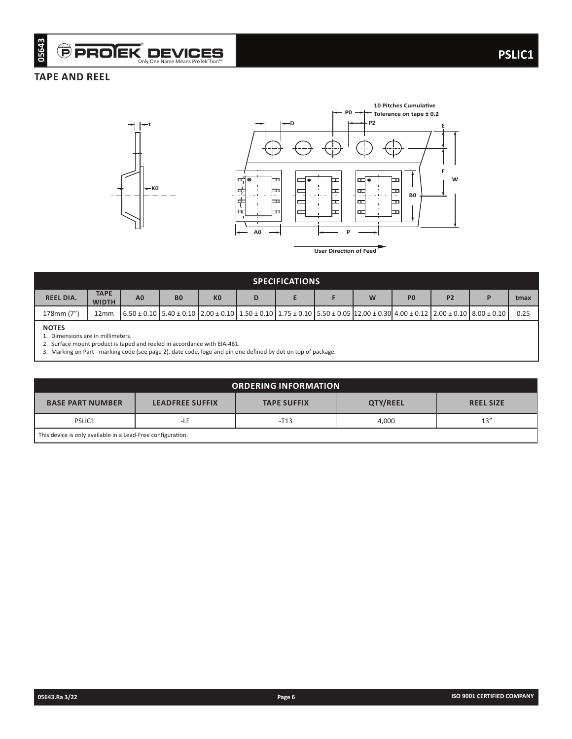# **TAPE AND REEL**



**User Direction of Feed**

**B0**

E

┝

ᆸ

Ī.

**F W**

| <b>SPECIFICATIONS</b> |                             |                |           |                |  |  |  |                                                                                                                                                                                |                |                |  |      |
|-----------------------|-----------------------------|----------------|-----------|----------------|--|--|--|--------------------------------------------------------------------------------------------------------------------------------------------------------------------------------|----------------|----------------|--|------|
| <b>REEL DIA.</b>      | <b>TAPE</b><br><b>WIDTH</b> | A <sub>0</sub> | <b>B0</b> | K <sub>0</sub> |  |  |  | W                                                                                                                                                                              | P <sub>0</sub> | P <sub>2</sub> |  | tmax |
| 178mm (7")            | 12mm                        |                |           |                |  |  |  | $(6.50 \pm 0.10)$ 5.40 $\pm$ 0.10 $(2.00 \pm 0.10)$ 1.50 $\pm$ 0.10 $(1.75 \pm 0.10)$ 5.50 $\pm$ 0.05 $(12.00 \pm 0.30)$ 4.00 $\pm$ 0.12 $(2.00 \pm 0.10)$ 8.00 $\pm$ 0.10 $($ |                |                |  | 0.25 |
| <b>NOTES</b>          |                             |                |           |                |  |  |  |                                                                                                                                                                                |                |                |  |      |

1. Dimensions are in millimeters.

2. Surface mount product is taped and reeled in accordance with EIA-481.

3. Marking on Part - marking code (see page 2), date code, logo and pin one defined by dot on top of package.

| <b>ORDERING INFORMATION</b>                                 |                        |                    |          |                  |  |  |  |  |  |
|-------------------------------------------------------------|------------------------|--------------------|----------|------------------|--|--|--|--|--|
| <b>BASE PART NUMBER</b>                                     | <b>LEADFREE SUFFIX</b> | <b>TAPE SUFFIX</b> | QTY/REEL | <b>REEL SIZE</b> |  |  |  |  |  |
| PSLIC1                                                      | -LF                    | $-T13$             | 4,000    | 13''             |  |  |  |  |  |
| This device is only available in a Lead-Free configuration. |                        |                    |          |                  |  |  |  |  |  |